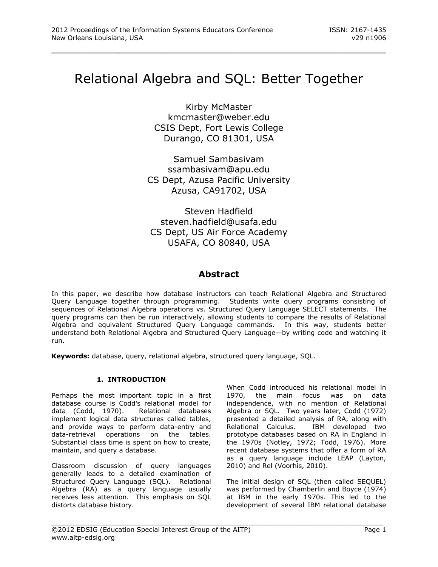# Relational Algebra and SQL: Better Together

\_\_\_\_\_\_\_\_\_\_\_\_\_\_\_\_\_\_\_\_\_\_\_\_\_\_\_\_\_\_\_\_\_\_\_\_\_\_\_\_\_\_\_\_\_\_\_\_\_

Kirby McMaster kmcmaster@weber.edu CSIS Dept, Fort Lewis College Durango, CO 81301, USA

Samuel Sambasivam ssambasivam@apu.edu CS Dept, Azusa Pacific University Azusa, CA91702, USA

Steven Hadfield steven.hadfield@usafa.edu CS Dept, US Air Force Academy USAFA, CO 80840, USA

# **Abstract**

In this paper, we describe how database instructors can teach Relational Algebra and Structured Query Language together through programming. Students write query programs consisting of sequences of Relational Algebra operations vs. Structured Query Language SELECT statements. The query programs can then be run interactively, allowing students to compare the results of Relational Algebra and equivalent Structured Query Language commands. In this way, students better understand both Relational Algebra and Structured Query Language—by writing code and watching it run.

**Keywords:** database, query, relational algebra, structured query language, SQL.

## **1. INTRODUCTION**

Perhaps the most important topic in a first database course is Codd's relational model for data (Codd, 1970). Relational databases implement logical data structures called tables, and provide ways to perform data-entry and data-retrieval operations on the tables. Substantial class time is spent on how to create, maintain, and query a database.

Classroom discussion of query languages generally leads to a detailed examination of Structured Query Language (SQL). Relational Algebra (RA) as a query language usually receives less attention. This emphasis on SQL distorts database history.

When Codd introduced his relational model in 1970, the main focus was on data independence, with no mention of Relational Algebra or SQL. Two years later, Codd (1972) presented a detailed analysis of RA, along with Relational Calculus. IBM developed two prototype databases based on RA in England in the 1970s (Notley, 1972; Todd, 1976). More recent database systems that offer a form of RA as a query language include LEAP (Layton, 2010) and Rel (Voorhis, 2010).

The initial design of SQL (then called SEQUEL) was performed by Chamberlin and Boyce (1974) at IBM in the early 1970s. This led to the development of several IBM relational database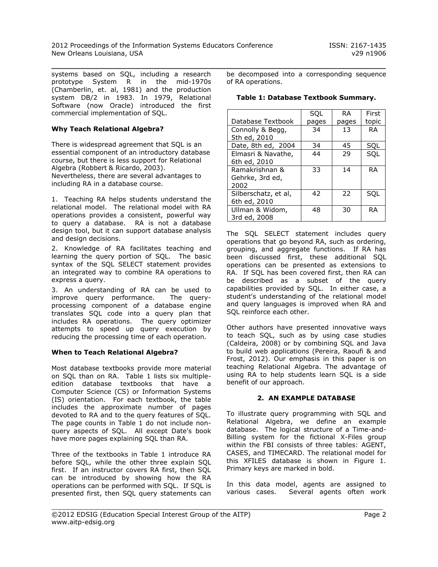$\_$  , and the contribution of the contribution of  $\mathcal{L}_1$  , and  $\mathcal{L}_2$  , and  $\mathcal{L}_3$  , and  $\mathcal{L}_4$  , and  $\mathcal{L}_5$  , and  $\mathcal{L}_6$  , and  $\mathcal{L}_7$  , and  $\mathcal{L}_8$  , and  $\mathcal{L}_7$  , and  $\mathcal{L}_8$  , and  $\mathcal{L}_8$  , systems based on SQL, including a research prototype System R in the mid-1970s (Chamberlin, et. al, 1981) and the production system DB/2 in 1983. In 1979, Relational Software (now Oracle) introduced the first commercial implementation of SQL.

## **Why Teach Relational Algebra?**

There is widespread agreement that SQL is an essential component of an introductory database course, but there is less support for Relational Algebra (Robbert & Ricardo, 2003). Nevertheless, there are several advantages to including RA in a database course.

1. Teaching RA helps students understand the relational model. The relational model with RA operations provides a consistent, powerful way to query a database. RA is not a database design tool, but it can support database analysis and design decisions.

2. Knowledge of RA facilitates teaching and learning the query portion of SQL. The basic syntax of the SQL SELECT statement provides an integrated way to combine RA operations to express a query.

3. An understanding of RA can be used to improve query performance. The queryprocessing component of a database engine translates SQL code into a query plan that includes RA operations. The query optimizer attempts to speed up query execution by reducing the processing time of each operation.

## **When to Teach Relational Algebra?**

Most database textbooks provide more material on SQL than on RA. Table 1 lists six multipleedition database textbooks that have a Computer Science (CS) or Information Systems (IS) orientation. For each textbook, the table includes the approximate number of pages devoted to RA and to the query features of SQL. The page counts in Table 1 do not include nonquery aspects of SQL. All except Date's book have more pages explaining SQL than RA.

Three of the textbooks in Table 1 introduce RA before SQL, while the other three explain SQL first. If an instructor covers RA first, then SQL can be introduced by showing how the RA operations can be performed with SQL. If SQL is presented first, then SQL query statements can be decomposed into a corresponding sequence of RA operations.

**Table 1: Database Textbook Summary.**

|                                           | SQL   | <b>RA</b> | First     |
|-------------------------------------------|-------|-----------|-----------|
| Database Textbook                         | pages | pages     | topic     |
| Connolly & Begg,<br>5th ed, 2010          | 34    | 13        | <b>RA</b> |
| Date, 8th ed, 2004                        | 34    | 45        | SQL       |
| Elmasri & Navathe,<br>6th ed, 2010        | 44    | 29        | SQL       |
| Ramakrishnan &<br>Gehrke, 3rd ed,<br>2002 | 33    | 14        | <b>RA</b> |
| Silberschatz, et al,<br>6th ed, 2010      | 42    | 22        | SQL       |
| Ullman & Widom,<br>3rd ed, 2008           | 48    | 30        | <b>RA</b> |

The SQL SELECT statement includes query operations that go beyond RA, such as ordering, grouping, and aggregate functions. If RA has been discussed first, these additional SQL operations can be presented as extensions to RA. If SQL has been covered first, then RA can be described as a subset of the query capabilities provided by SQL. In either case, a student's understanding of the relational model and query languages is improved when RA and SQL reinforce each other.

Other authors have presented innovative ways to teach SQL, such as by using case studies (Caldeira, 2008) or by combining SQL and Java to build web applications (Pereira, Raoufi & and Frost, 2012). Our emphasis in this paper is on teaching Relational Algebra. The advantage of using RA to help students learn SQL is a side benefit of our approach.

## **2. AN EXAMPLE DATABASE**

To illustrate query programming with SQL and Relational Algebra, we define an example database. The logical structure of a Time-and-Billing system for the fictional X-Files group within the FBI consists of three tables: AGENT, CASES, and TIMECARD. The relational model for this XFILES database is shown in Figure 1. Primary keys are marked in bold.

In this data model, agents are assigned to various cases. Several agents often work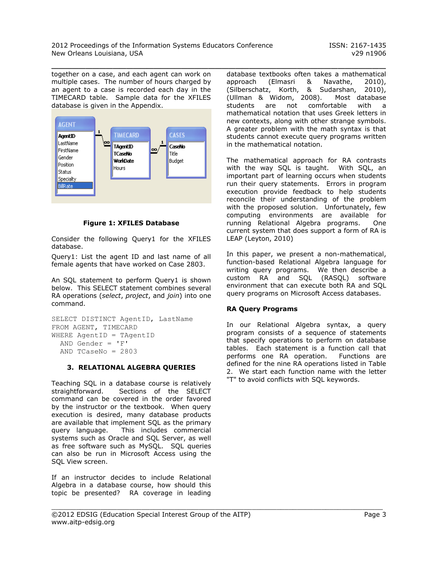$\_$  , and the contribution of the contribution of  $\mathcal{L}_1$  , and  $\mathcal{L}_2$  , and  $\mathcal{L}_3$  , and  $\mathcal{L}_4$  , and  $\mathcal{L}_5$  , and  $\mathcal{L}_6$  , and  $\mathcal{L}_7$  , and  $\mathcal{L}_8$  , and  $\mathcal{L}_7$  , and  $\mathcal{L}_8$  , and  $\mathcal{L}_8$  ,

together on a case, and each agent can work on multiple cases. The number of hours charged by an agent to a case is recorded each day in the TIMECARD table. Sample data for the XFILES database is given in the Appendix.



**Figure 1: XFILES Database**

Consider the following Query1 for the XFILES database.

Query1: List the agent ID and last name of all female agents that have worked on Case 2803.

An SQL statement to perform Query1 is shown below. This SELECT statement combines several RA operations (*select*, *project*, and *join*) into one command.

```
SELECT DISTINCT AgentID, LastName
FROM AGENT, TIMECARD
WHERE AgentID = TAgentID
  AND Gender = 'F' AND TCaseNo = 2803
```
#### **3. RELATIONAL ALGEBRA QUERIES**

Teaching SQL in a database course is relatively straightforward. Sections of the SELECT command can be covered in the order favored by the instructor or the textbook. When query execution is desired, many database products are available that implement SQL as the primary query language. This includes commercial systems such as Oracle and SQL Server, as well as free software such as MySQL. SQL queries can also be run in Microsoft Access using the SQL View screen.

If an instructor decides to include Relational Algebra in a database course, how should this topic be presented? RA coverage in leading database textbooks often takes a mathematical approach (Elmasri & Navathe, 2010), (Silberschatz, Korth, & Sudarshan, 2010), (Ullman & Widom, 2008). Most database students are not comfortable with a mathematical notation that uses Greek letters in new contexts, along with other strange symbols. A greater problem with the math syntax is that students cannot execute query programs written in the mathematical notation.

The mathematical approach for RA contrasts with the way SQL is taught. With SQL, an important part of learning occurs when students run their query statements. Errors in program execution provide feedback to help students reconcile their understanding of the problem with the proposed solution. Unfortunately, few computing environments are available for running Relational Algebra programs. One current system that does support a form of RA is LEAP (Leyton, 2010)

In this paper, we present a non-mathematical, function-based Relational Algebra language for writing query programs. We then describe a custom RA and SQL (RASQL) software environment that can execute both RA and SQL query programs on Microsoft Access databases.

## **RA Query Programs**

In our Relational Algebra syntax, a query program consists of a sequence of statements that specify operations to perform on database tables. Each statement is a function call that performs one RA operation. Functions are defined for the nine RA operations listed in Table 2. We start each function name with the letter "T" to avoid conflicts with SQL keywords.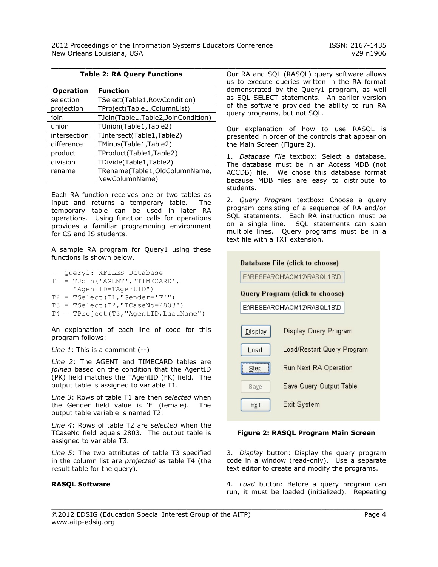## $\_$  , and the contribution of the contribution of  $\mathcal{L}_1$  , and  $\mathcal{L}_2$  , and  $\mathcal{L}_3$  , and  $\mathcal{L}_4$  , and  $\mathcal{L}_5$  , and  $\mathcal{L}_6$  , and  $\mathcal{L}_7$  , and  $\mathcal{L}_8$  , and  $\mathcal{L}_7$  , and  $\mathcal{L}_8$  , and  $\mathcal{L}_8$  , **Table 2: RA Query Functions**

| <b>Operation</b> | <b>Function</b>                                 |
|------------------|-------------------------------------------------|
| selection        | TSelect(Table1,RowCondition)                    |
| projection       | TProject(Table1,ColumnList)                     |
| ioin             | TJoin(Table1,Table2,JoinCondition)              |
| union            | TUnion(Table1,Table2)                           |
| intersection     | TIntersect(Table1,Table2)                       |
| difference       | TMinus(Table1,Table2)                           |
| product          | TProduct(Table1,Table2)                         |
| division         | TDivide(Table1,Table2)                          |
| rename           | TRename(Table1,OldColumnName,<br>NewColumnName) |

Each RA function receives one or two tables as input and returns a temporary table. The temporary table can be used in later RA operations. Using function calls for operations provides a familiar programming environment for CS and IS students.

A sample RA program for Query1 using these functions is shown below.

-- Query1: XFILES Database T1 = TJoin('AGENT','TIMECARD', "AgentID=TAgentID")  $T2 = TSelect(T1, "Gender='F'''')$  $T3 = TSelect(T2, "TCaseNo=2803")$ 

T4 = TProject(T3,"AgentID,LastName")

An explanation of each line of code for this program follows:

*Line 1*: This is a comment (--)

*Line 2*: The AGENT and TIMECARD tables are *joined* based on the condition that the AgentID (PK) field matches the TAgentID (FK) field. The output table is assigned to variable T1.

*Line 3*: Rows of table T1 are then *selected* when the Gender field value is 'F' (female). The output table variable is named T2.

*Line 4*: Rows of table T2 are *selected* when the TCaseNo field equals 2803. The output table is assigned to variable T3.

*Line 5*: The two attributes of table T3 specified in the column list are *projected* as table T4 (the result table for the query).

#### **RASQL Software**

Our RA and SQL (RASQL) query software allows us to execute queries written in the RA format demonstrated by the Query1 program, as well as SQL SELECT statements. An earlier version of the software provided the ability to run RA query programs, but not SQL.

Our explanation of how to use RASQL is presented in order of the controls that appear on the Main Screen (Figure 2).

1. *Database File* textbox: Select a database. The database must be in an Access MDB (not ACCDB) file. We chose this database format because MDB files are easy to distribute to students.

2. *Query Program* textbox: Choose a query program consisting of a sequence of RA and/or SQL statements. Each RA instruction must be on a single line. SQL statements can span multiple lines. Query programs must be in a text file with a TXT extension.



#### **Figure 2: RASQL Program Main Screen**

3. *Display* button: Display the query program code in a window (read-only). Use a separate text editor to create and modify the programs.

4. *Load* button: Before a query program can run, it must be loaded (initialized). Repeating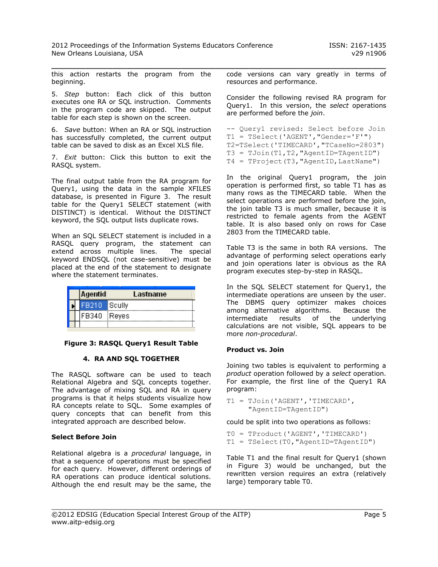$\_$  , and the contribution of the contribution of  $\mathcal{L}_1$  , and  $\mathcal{L}_2$  , and  $\mathcal{L}_3$  , and  $\mathcal{L}_4$  , and  $\mathcal{L}_5$  , and  $\mathcal{L}_6$  , and  $\mathcal{L}_7$  , and  $\mathcal{L}_8$  , and  $\mathcal{L}_7$  , and  $\mathcal{L}_8$  , and  $\mathcal{L}_8$  ,

this action restarts the program from the beginning.

5. *Step* button: Each click of this button executes one RA or SQL instruction. Comments in the program code are skipped. The output table for each step is shown on the screen.

6. *Save* button: When an RA or SQL instruction has successfully completed, the current output table can be saved to disk as an Excel XLS file.

7. *Exit* button: Click this button to exit the RASQL system.

The final output table from the RA program for Query1, using the data in the sample XFILES database, is presented in Figure 3. The result table for the Query1 SELECT statement (with DISTINCT) is identical. Without the DISTINCT keyword, the SQL output lists duplicate rows.

When an SQL SELECT statement is included in a RASQL query program, the statement can extend across multiple lines. The special keyword ENDSQL (not case-sensitive) must be placed at the end of the statement to designate where the statement terminates.

|  | Agentid      | Lastname |
|--|--------------|----------|
|  | FB210 Scully |          |
|  | FB340 Reyes  |          |
|  |              |          |

#### **Figure 3: RASQL Query1 Result Table**

#### **4. RA AND SQL TOGETHER**

The RASQL software can be used to teach Relational Algebra and SQL concepts together. The advantage of mixing SQL and RA in query programs is that it helps students visualize how RA concepts relate to SQL. Some examples of query concepts that can benefit from this integrated approach are described below.

## **Select Before Join**

Relational algebra is a *procedural* language, in that a sequence of operations must be specified for each query. However, different orderings of RA operations can produce identical solutions. Although the end result may be the same, the code versions can vary greatly in terms of resources and performance.

Consider the following revised RA program for Query1. In this version, the *select* operations are performed before the *join*.

```
-- Query1 revised: Select before Join
T1 = TSelect('AGENT',"Gender='F'")
T2=TSelect('TIMECARD',"TCaseNo=2803")
T3 = TJoin(T1,T2,"AgentID=TAgentID")
T4 = TProject(T3, "AgentID, LastName")
```
In the original Query1 program, the join operation is performed first, so table T1 has as many rows as the TIMECARD table. When the select operations are performed before the join, the join table T3 is much smaller, because it is restricted to female agents from the AGENT table. It is also based only on rows for Case 2803 from the TIMECARD table.

Table T3 is the same in both RA versions. The advantage of performing select operations early and join operations later is obvious as the RA program executes step-by-step in RASQL.

In the SQL SELECT statement for Query1, the intermediate operations are unseen by the user. The DBMS query optimizer makes choices among alternative algorithms. Because the intermediate results of the underlying calculations are not visible, SQL appears to be more *non-procedural*.

## **Product vs. Join**

Joining two tables is equivalent to performing a *product* operation followed by a *select* operation. For example, the first line of the Query1 RA program:

```
T1 = TJoin('AGENT','TIMECARD',
      "AgentID=TAgentID")
```
could be split into two operations as follows:

T0 = TProduct('AGENT','TIMECARD') T1 = TSelect(T0,"AgentID=TAgentID")

Table T1 and the final result for Query1 (shown in Figure 3) would be unchanged, but the rewritten version requires an extra (relatively large) temporary table T0.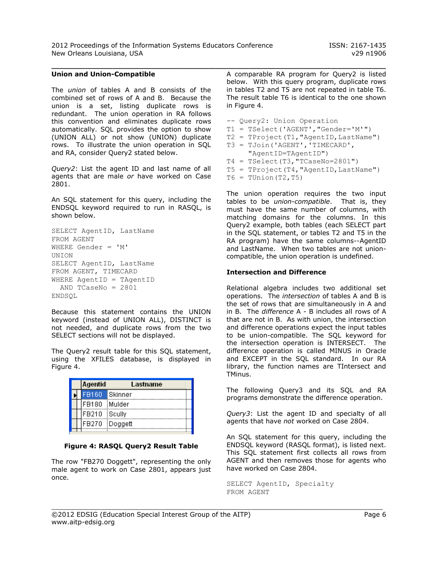2012 Proceedings of the Information Systems Educators Conference ISSN: 2167-1435 New Orleans Louisiana, USA v29 n1906

 $\_$  , and the contribution of the contribution of  $\mathcal{L}_1$  , and  $\mathcal{L}_2$  , and  $\mathcal{L}_3$  , and  $\mathcal{L}_4$  , and  $\mathcal{L}_5$  , and  $\mathcal{L}_6$  , and  $\mathcal{L}_7$  , and  $\mathcal{L}_8$  , and  $\mathcal{L}_7$  , and  $\mathcal{L}_8$  , and  $\mathcal{L}_8$  ,

#### **Union and Union-Compatible**

The *union* of tables A and B consists of the combined set of rows of A and B. Because the union is a set, listing duplicate rows is redundant. The union operation in RA follows this convention and eliminates duplicate rows automatically. SQL provides the option to show (UNION ALL) or not show (UNION) duplicate rows. To illustrate the union operation in SQL and RA, consider Query2 stated below.

*Query2*: List the agent ID and last name of all agents that are male *or* have worked on Case 2801.

An SQL statement for this query, including the ENDSQL keyword required to run in RASQL, is shown below.

```
SELECT AgentID, LastName
FROM AGENT
WHERE Gender = 'M'
UNION
SELECT AgentID, LastName
FROM AGENT, TIMECARD
WHERE AgentID = TAgentID
  AND TCaseNo = 2801
ENDSQL
```
Because this statement contains the UNION keyword (instead of UNION ALL), DISTINCT is not needed, and duplicate rows from the two SELECT sections will not be displayed.

The Query2 result table for this SQL statement, using the XFILES database, is displayed in Figure 4.

|  | <b>Agentid</b> | Lastname |  |
|--|----------------|----------|--|
|  | FB160          | Skinner  |  |
|  | FB180          | Mulder   |  |
|  | FB210          | Scully   |  |
|  | FB270          | Doggett  |  |
|  |                |          |  |

#### **Figure 4: RASQL Query2 Result Table**

The row "FB270 Doggett", representing the only male agent to work on Case 2801, appears just once.

A comparable RA program for Query2 is listed below. With this query program, duplicate rows in tables T2 and T5 are not repeated in table T6. The result table T6 is identical to the one shown in Figure 4.

```
-- Query2: Union Operation
T1 = TSelect('AGENT',"Gender='M'")
T2 = TProofect(T1, "AgentID, LastName")T3 = TJoin('AGENT','TIMECARD',
      "AgentID=TAgentID")
T4 = TSelect(T3, TCaseNo=2801")T5 = TProject(T4,"AgentID,LastName")
T6 = TUnion(T2, T5)
```
The union operation requires the two input tables to be *union-compatible*. That is, they must have the same number of columns, with matching domains for the columns. In this Query2 example, both tables (each SELECT part in the SQL statement, or tables T2 and T5 in the RA program) have the same columns--AgentID and LastName. When two tables are not unioncompatible, the union operation is undefined.

#### **Intersection and Difference**

Relational algebra includes two additional set operations. The *intersection* of tables A and B is the set of rows that are simultaneously in A and in B. The *difference* A - B includes all rows of A that are not in B. As with union, the intersection and difference operations expect the input tables to be union-compatible. The SQL keyword for the intersection operation is INTERSECT. The difference operation is called MINUS in Oracle and EXCEPT in the SQL standard. In our RA library, the function names are TIntersect and TMinus.

The following Query3 and its SQL and RA programs demonstrate the difference operation.

*Query3*: List the agent ID and specialty of all agents that have *not* worked on Case 2804.

An SQL statement for this query, including the ENDSQL keyword (RASQL format), is listed next. This SQL statement first collects all rows from AGENT and then removes those for agents who have worked on Case 2804.

SELECT AgentID, Specialty FROM AGENT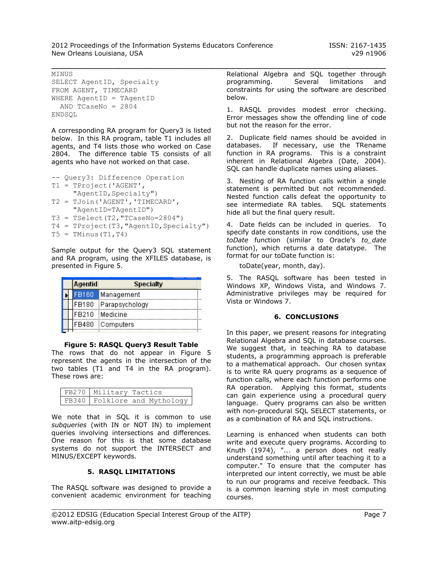MINUS

```
SELECT AgentID, Specialty
FROM AGENT, TIMECARD
WHERE AgentID = TAgentID
  AND TCaseNo = 2804
ENDSQL
```
A corresponding RA program for Query3 is listed below. In this RA program, table T1 includes all agents, and T4 lists those who worked on Case 2804. The difference table T5 consists of all agents who have not worked on that case.

```
-- Query3: Difference Operation
T1 = TProject('AGENT',
     "AgentID, Specialty")
T2 = TJoin('AGENT','TIMECARD',
      "AgentID=TAgentID")
T3 = TSelect (T2, TCaseNo=2804")T4 = TProject(T3, "AgentID, Specialty")T5 = TMinus(T1, T4)
```
Sample output for the Query3 SQL statement and RA program, using the XFILES database, is presented in Figure 5.

|  | <b>Agentid</b> | <b>Specialty</b>     |  |
|--|----------------|----------------------|--|
|  |                | FB160 Management     |  |
|  |                | FB180 Parapsychology |  |
|  |                | FB210 Medicine       |  |
|  |                | FB480 Computers      |  |

**Figure 5: RASQL Query3 Result Table** The rows that do not appear in Figure 5 represent the agents in the intersection of the two tables (T1 and T4 in the RA program).

| FB270 Military Tactics |                                |
|------------------------|--------------------------------|
|                        | FB340   Folklore and Mythology |

These rows are:

We note that in SQL it is common to use *subqueries* (with IN or NOT IN) to implement queries involving intersections and differences. One reason for this is that some database systems do not support the INTERSECT and MINUS/EXCEPT keywords.

#### **5. RASQL LIMITATIONS**

The RASQL software was designed to provide a convenient academic environment for teaching

 $\_$  , and the contribution of the contribution of  $\mathcal{L}_1$  , and  $\mathcal{L}_2$  , and  $\mathcal{L}_3$  , and  $\mathcal{L}_4$  , and  $\mathcal{L}_5$  , and  $\mathcal{L}_6$  , and  $\mathcal{L}_7$  , and  $\mathcal{L}_8$  , and  $\mathcal{L}_7$  , and  $\mathcal{L}_8$  , and  $\mathcal{L}_8$  , Relational Algebra and SQL together through programming. Several limitations and constraints for using the software are described below.

> 1. RASQL provides modest error checking. Error messages show the offending line of code but not the reason for the error.

> 2. Duplicate field names should be avoided in databases. If necessary, use the TRename function in RA programs. This is a constraint inherent in Relational Algebra (Date, 2004). SQL can handle duplicate names using aliases.

> 3. Nesting of RA function calls within a single statement is permitted but not recommended. Nested function calls defeat the opportunity to see intermediate RA tables. SQL statements hide all but the final query result.

> 4. Date fields can be included in queries. To specify date constants in row conditions, use the *toDate* function (similar to Oracle's *to\_date* function), which returns a date datatype. The format for our toDate function is:

toDate(year, month, day).

5. The RASQL software has been tested in Windows XP, Windows Vista, and Windows 7. Administrative privileges may be required for Vista or Windows 7.

## **6. CONCLUSIONS**

In this paper, we present reasons for integrating Relational Algebra and SQL in database courses. We suggest that, in teaching RA to database students, a programming approach is preferable to a mathematical approach. Our chosen syntax is to write RA query programs as a sequence of function calls, where each function performs one RA operation. Applying this format, students can gain experience using a procedural query language. Query programs can also be written with non-procedural SQL SELECT statements, or as a combination of RA and SQL instructions.

Learning is enhanced when students can both write and execute query programs. According to Knuth (1974), "... a person does not really understand something until after teaching it to a computer." To ensure that the computer has interpreted our intent correctly, we must be able to run our programs and receive feedback. This is a common learning style in most computing courses.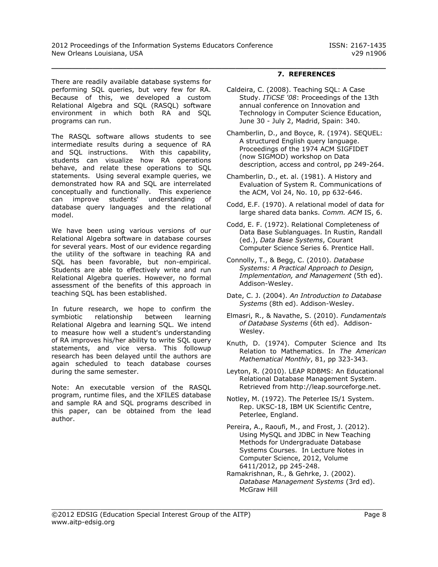There are readily available database systems for performing SQL queries, but very few for RA. Because of this, we developed a custom Relational Algebra and SQL (RASQL) software environment in which both RA and SQL programs can run.

The RASQL software allows students to see intermediate results during a sequence of RA and SQL instructions. With this capability, students can visualize how RA operations behave, and relate these operations to SQL statements. Using several example queries, we demonstrated how RA and SQL are interrelated conceptually and functionally. This experience can improve students' understanding of database query languages and the relational model.

We have been using various versions of our Relational Algebra software in database courses for several years. Most of our evidence regarding the utility of the software in teaching RA and SQL has been favorable, but non-empirical. Students are able to effectively write and run Relational Algebra queries. However, no formal assessment of the benefits of this approach in teaching SQL has been established.

In future research, we hope to confirm the symbiotic relationship between learning Relational Algebra and learning SQL. We intend to measure how well a student's understanding of RA improves his/her ability to write SQL query statements, and vice versa. This followup research has been delayed until the authors are again scheduled to teach database courses during the same semester.

Note: An executable version of the RASQL program, runtime files, and the XFILES database and sample RA and SQL programs described in this paper, can be obtained from the lead author.

# $\_$  , and the contribution of the contribution of  $\mathcal{L}_1$  , and  $\mathcal{L}_2$  , and  $\mathcal{L}_3$  , and  $\mathcal{L}_4$  , and  $\mathcal{L}_5$  , and  $\mathcal{L}_6$  , and  $\mathcal{L}_7$  , and  $\mathcal{L}_8$  , and  $\mathcal{L}_7$  , and  $\mathcal{L}_8$  , and  $\mathcal{L}_8$  , **7. REFERENCES**

- Caldeira, C. (2008). Teaching SQL: A Case Study. *ITiCSE '08*: Proceedings of the 13th annual conference on Innovation and Technology in Computer Science Education, June 30 - July 2, Madrid, Spain: 340.
- Chamberlin, D., and Boyce, R. (1974). SEQUEL: A structured English query language. Proceedings of the 1974 ACM SIGFIDET (now SIGMOD) workshop on Data description, access and control, pp 249-264.
- Chamberlin, D., et. al. (1981). A History and Evaluation of System R. Communications of the ACM, Vol 24, No. 10, pp 632-646.
- Codd, E.F. (1970). A relational model of data for large shared data banks. *Comm. ACM* IS, 6.
- Codd, E. F. (1972). Relational Completeness of Data Base Sublanguages. In Rustin, Randall (ed.), *Data Base Systems*, Courant Computer Science Series 6. Prentice Hall.
- Connolly, T., & Begg, C. (2010). *Database Systems: A Practical Approach to Design, Implementation, and Management* (5th ed). Addison-Wesley.
- Date, C. J. (2004). *An Introduction to Database Systems* (8th ed). Addison-Wesley.
- Elmasri, R., & Navathe, S. (2010). *Fundamentals of Database Systems* (6th ed). Addison-Wesley.
- Knuth, D. (1974). Computer Science and Its Relation to Mathematics. In *The American Mathematical Monthly*, 81, pp 323-343.
- Leyton, R. (2010). LEAP RDBMS: An Educational Relational Database Management System. Retrieved from http://leap.sourceforge.net.
- Notley, M. (1972). The Peterlee IS/1 System. Rep. UKSC-18, IBM UK Scientific Centre, Peterlee, England.
- Pereira, A., Raoufi, M., and Frost, J. (2012). Using MySQL and JDBC in New Teaching Methods for Undergraduate Database Systems Courses. In Lecture Notes in Computer Science, 2012, Volume 6411/2012, pp 245-248.
- Ramakrishnan, R., & Gehrke, J. (2002). *Database Management Systems* (3rd ed). McGraw Hill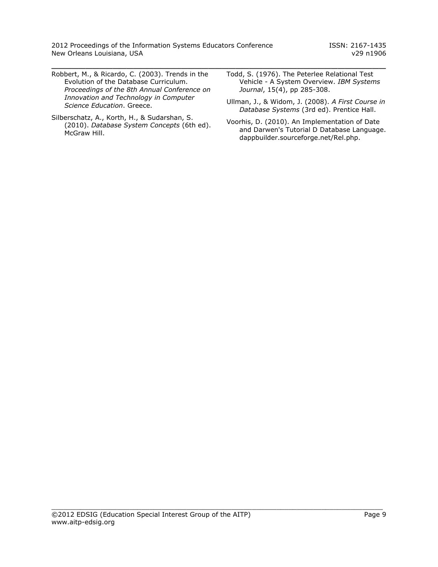2012 Proceedings of the Information Systems Educators Conference ISSN: 2167-1435 New Orleans Louisiana, USA v29 n1906

 $\_$  , and the contribution of the contribution of  $\mathcal{L}_1$  , and  $\mathcal{L}_2$  , and  $\mathcal{L}_3$  , and  $\mathcal{L}_4$  , and  $\mathcal{L}_5$  , and  $\mathcal{L}_6$  , and  $\mathcal{L}_7$  , and  $\mathcal{L}_8$  , and  $\mathcal{L}_7$  , and  $\mathcal{L}_8$  , and  $\mathcal{L}_8$  ,

- Robbert, M., & Ricardo, C. (2003). Trends in the Evolution of the Database Curriculum. *Proceedings of the 8th Annual Conference on Innovation and Technology in Computer Science Education*. Greece.
- Silberschatz, A., Korth, H., & Sudarshan, S. (2010). *Database System Concepts* (6th ed). McGraw Hill.
- Todd, S. (1976). The Peterlee Relational Test Vehicle - A System Overview. *IBM Systems Journal*, 15(4), pp 285-308.
- Ullman, J., & Widom, J. (2008). *A First Course in Database Systems* (3rd ed). Prentice Hall.
- Voorhis, D. (2010). An Implementation of Date and Darwen's Tutorial D Database Language. dappbuilder.sourceforge.net/Rel.php.